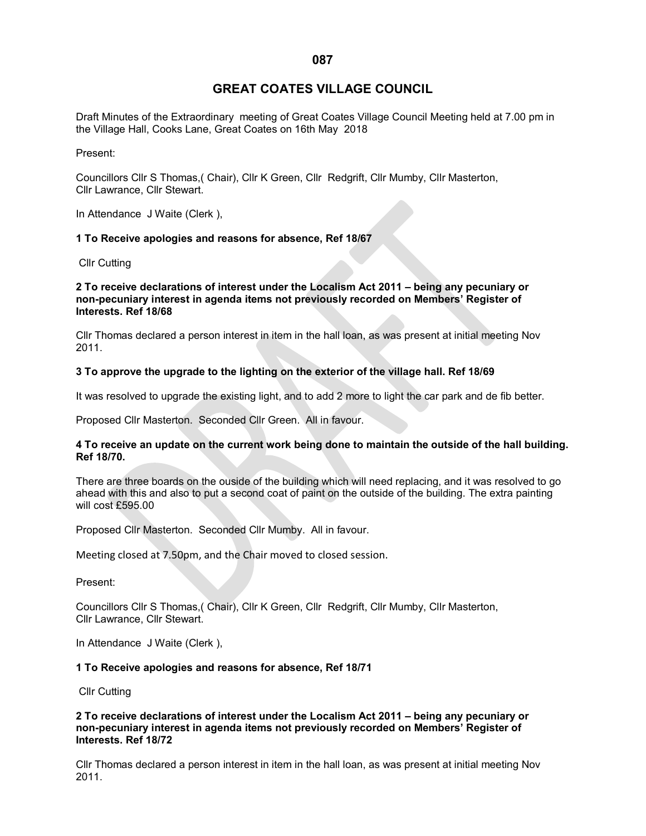# **GREAT COATES VILLAGE COUNCIL**

Draft Minutes of the Extraordinary meeting of Great Coates Village Council Meeting held at 7.00 pm in the Village Hall, Cooks Lane, Great Coates on 16th May 2018

Present:

Councillors Cllr S Thomas,( Chair), Cllr K Green, Cllr Redgrift, Cllr Mumby, Cllr Masterton, Cllr Lawrance, Cllr Stewart.

In Attendance J Waite (Clerk ),

## **1 To Receive apologies and reasons for absence, Ref 18/67**

Cllr Cutting

#### **2 To receive declarations of interest under the Localism Act 2011 – being any pecuniary or non-pecuniary interest in agenda items not previously recorded on Members' Register of Interests. Ref 18/68**

Cllr Thomas declared a person interest in item in the hall loan, as was present at initial meeting Nov 2011.

## **3 To approve the upgrade to the lighting on the exterior of the village hall. Ref 18/69**

It was resolved to upgrade the existing light, and to add 2 more to light the car park and de fib better.

Proposed Cllr Masterton. Seconded Cllr Green. All in favour.

## **4 To receive an update on the current work being done to maintain the outside of the hall building. Ref 18/70.**

There are three boards on the ouside of the building which will need replacing, and it was resolved to go ahead with this and also to put a second coat of paint on the outside of the building. The extra painting will cost £595.00

Proposed Cllr Masterton. Seconded Cllr Mumby. All in favour.

Meeting closed at 7.50pm, and the Chair moved to closed session.

Present:

Councillors Cllr S Thomas,( Chair), Cllr K Green, Cllr Redgrift, Cllr Mumby, Cllr Masterton, Cllr Lawrance, Cllr Stewart.

In Attendance J Waite (Clerk ),

#### **1 To Receive apologies and reasons for absence, Ref 18/71**

Cllr Cutting

## **2 To receive declarations of interest under the Localism Act 2011 – being any pecuniary or non-pecuniary interest in agenda items not previously recorded on Members' Register of Interests. Ref 18/72**

Cllr Thomas declared a person interest in item in the hall loan, as was present at initial meeting Nov 2011.